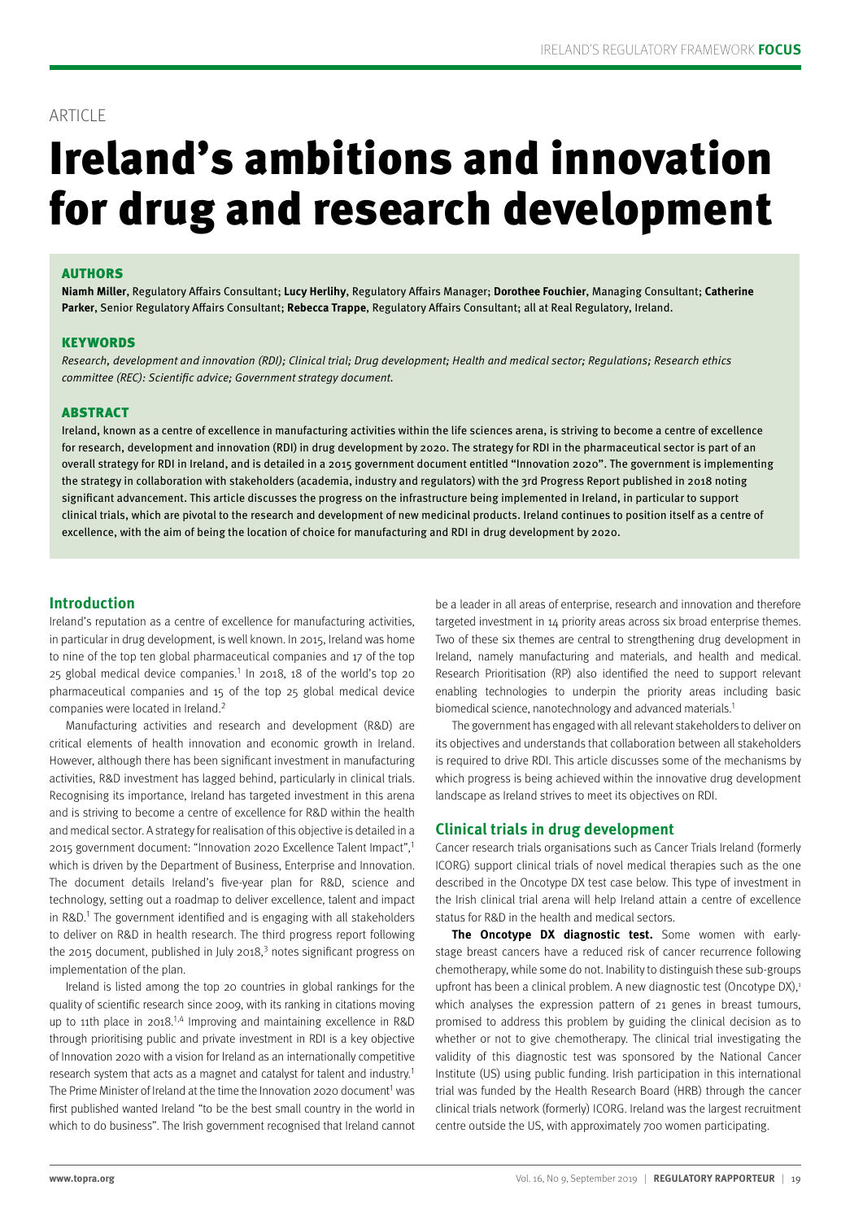### ARTICLE

# Ireland's ambitions and innovation for drug and research development

#### AUTHORS

**Niamh Miller**, Regulatory Affairs Consultant; **Lucy Herlihy**, Regulatory Affairs Manager; **Dorothee Fouchier**, Managing Consultant; **Catherine Parker**, Senior Regulatory Affairs Consultant; **Rebecca Trappe**, Regulatory Affairs Consultant; all at Real Regulatory, Ireland.

#### **KEYWORDS**

Research, development and innovation (RDI); Clinical trial; Drug development; Health and medical sector; Regulations; Research ethics committee (REC): Scientific advice; Government strategy document.

#### ABSTRACT

Ireland, known as a centre of excellence in manufacturing activities within the life sciences arena, is striving to become a centre of excellence for research, development and innovation (RDI) in drug development by 2020. The strategy for RDI in the pharmaceutical sector is part of an overall strategy for RDI in Ireland, and is detailed in a 2015 government document entitled "Innovation 2020". The government is implementing the strategy in collaboration with stakeholders (academia, industry and regulators) with the 3rd Progress Report published in 2018 noting significant advancement. This article discusses the progress on the infrastructure being implemented in Ireland, in particular to support clinical trials, which are pivotal to the research and development of new medicinal products. Ireland continues to position itself as a centre of excellence, with the aim of being the location of choice for manufacturing and RDI in drug development by 2020.

#### **Introduction**

Ireland's reputation as a centre of excellence for manufacturing activities, in particular in drug development, is well known. In 2015, Ireland was home to nine of the top ten global pharmaceutical companies and 17 of the top 25 global medical device companies.<sup>1</sup> In 2018, 18 of the world's top 20 pharmaceutical companies and 15 of the top 25 global medical device companies were located in Ireland<sup>2</sup>

Manufacturing activities and research and development (R&D) are critical elements of health innovation and economic growth in Ireland. However, although there has been significant investment in manufacturing activities, R&D investment has lagged behind, particularly in clinical trials. Recognising its importance, Ireland has targeted investment in this arena and is striving to become a centre of excellence for R&D within the health and medical sector. A strategy for realisation of this objective is detailed in a 2015 government document: "Innovation 2020 Excellence Talent Impact",<sup>1</sup> which is driven by the Department of Business, Enterprise and Innovation. The document details Ireland's five-year plan for R&D, science and technology, setting out a roadmap to deliver excellence, talent and impact in R&D.<sup>1</sup> The government identified and is engaging with all stakeholders to deliver on R&D in health research. The third progress report following the 2015 document, published in July 2018, $3$  notes significant progress on implementation of the plan.

Ireland is listed among the top 20 countries in global rankings for the quality of scientific research since 2009, with its ranking in citations moving up to 11th place in 2018.<sup>1,4</sup> Improving and maintaining excellence in R&D through prioritising public and private investment in RDI is a key objective of Innovation 2020 with a vision for Ireland as an internationally competitive research system that acts as a magnet and catalyst for talent and industry.<sup>1</sup> The Prime Minister of Ireland at the time the Innovation 2020 document<sup>1</sup> was first published wanted Ireland "to be the best small country in the world in which to do business". The Irish government recognised that Ireland cannot be a leader in all areas of enterprise, research and innovation and therefore targeted investment in 14 priority areas across six broad enterprise themes. Two of these six themes are central to strengthening drug development in Ireland, namely manufacturing and materials, and health and medical. Research Prioritisation (RP) also identified the need to support relevant enabling technologies to underpin the priority areas including basic biomedical science, nanotechnology and advanced materials.1

The government has engaged with all relevant stakeholders to deliver on its objectives and understands that collaboration between all stakeholders is required to drive RDI. This article discusses some of the mechanisms by which progress is being achieved within the innovative drug development landscape as Ireland strives to meet its objectives on RDI.

#### **Clinical trials in drug development**

Cancer research trials organisations such as Cancer Trials Ireland (formerly ICORG) support clinical trials of novel medical therapies such as the one described in the Oncotype DX test case below. This type of investment in the Irish clinical trial arena will help Ireland attain a centre of excellence status for R&D in the health and medical sectors.

**The Oncotype DX diagnostic test.** Some women with earlystage breast cancers have a reduced risk of cancer recurrence following chemotherapy, while some do not. Inability to distinguish these sub-groups upfront has been a clinical problem. A new diagnostic test (Oncotype DX), $1$ which analyses the expression pattern of 21 genes in breast tumours, promised to address this problem by guiding the clinical decision as to whether or not to give chemotherapy. The clinical trial investigating the validity of this diagnostic test was sponsored by the National Cancer Institute (US) using public funding. Irish participation in this international trial was funded by the Health Research Board (HRB) through the cancer clinical trials network (formerly) ICORG. Ireland was the largest recruitment centre outside the US, with approximately 700 women participating.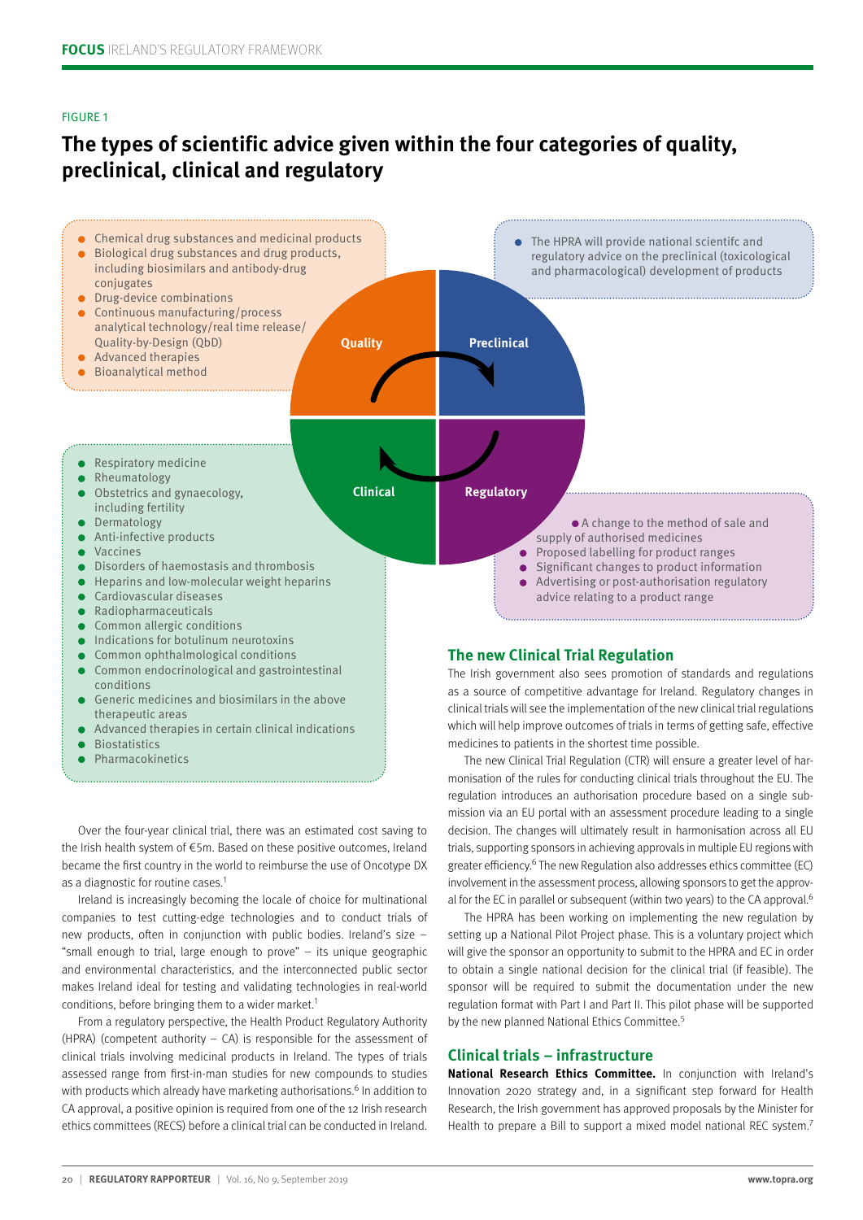#### FIGURE 1

## **The types of scientific advice given within the four categories of quality, preclinical, clinical and regulatory**



- Generic medicines and biosimilars in the above therapeutic areas
- Advanced therapies in certain clinical indications
- **Biostatistics**
- **Pharmacokinetics**

Over the four-year clinical trial, there was an estimated cost saving to the Irish health system of €5m. Based on these positive outcomes, Ireland became the first country in the world to reimburse the use of Oncotype DX as a diagnostic for routine cases.<sup>1</sup>

Ireland is increasingly becoming the locale of choice for multinational companies to test cutting-edge technologies and to conduct trials of new products, often in conjunction with public bodies. Ireland's size – "small enough to trial, large enough to prove" – its unique geographic and environmental characteristics, and the interconnected public sector makes Ireland ideal for testing and validating technologies in real-world conditions, before bringing them to a wider market.<sup>1</sup>

From a regulatory perspective, the Health Product Regulatory Authority (HPRA) (competent authority – CA) is responsible for the assessment of clinical trials involving medicinal products in Ireland. The types of trials assessed range from first-in-man studies for new compounds to studies with products which already have marketing authorisations.<sup>6</sup> In addition to CA approval, a positive opinion is required from one of the 12 Irish research ethics committees (RECS) before a clinical trial can be conducted in Ireland.

as a source of competitive advantage for Ireland. Regulatory changes in clinical trials will see the implementation of the new clinical trial regulations which will help improve outcomes of trials in terms of getting safe, effective medicines to patients in the shortest time possible.

The new Clinical Trial Regulation (CTR) will ensure a greater level of harmonisation of the rules for conducting clinical trials throughout the EU. The regulation introduces an authorisation procedure based on a single submission via an EU portal with an assessment procedure leading to a single decision. The changes will ultimately result in harmonisation across all EU trials, supporting sponsors in achieving approvals in multiple EU regions with greater efficiency.<sup>6</sup> The new Regulation also addresses ethics committee (EC) involvement in the assessment process, allowing sponsors to get the approval for the EC in parallel or subsequent (within two years) to the CA approval.<sup>6</sup>

The HPRA has been working on implementing the new regulation by setting up a National Pilot Project phase. This is a voluntary project which will give the sponsor an opportunity to submit to the HPRA and EC in order to obtain a single national decision for the clinical trial (if feasible). The sponsor will be required to submit the documentation under the new regulation format with Part I and Part II. This pilot phase will be supported by the new planned National Ethics Committee.<sup>5</sup>

#### **Clinical trials – infrastructure**

**National Research Ethics Committee.** In conjunction with Ireland's Innovation 2020 strategy and, in a significant step forward for Health Research, the Irish government has approved proposals by the Minister for Health to prepare a Bill to support a mixed model national REC system.<sup>7</sup>